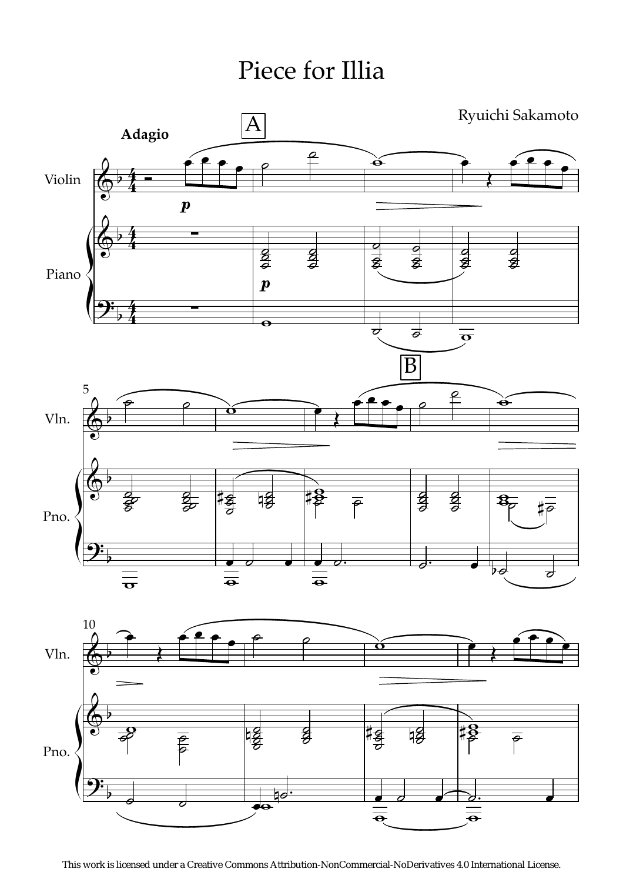Piece for Illia



This work is licensed under a Creative Commons Attribution-NonCommercial-NoDerivatives 4.0 International License.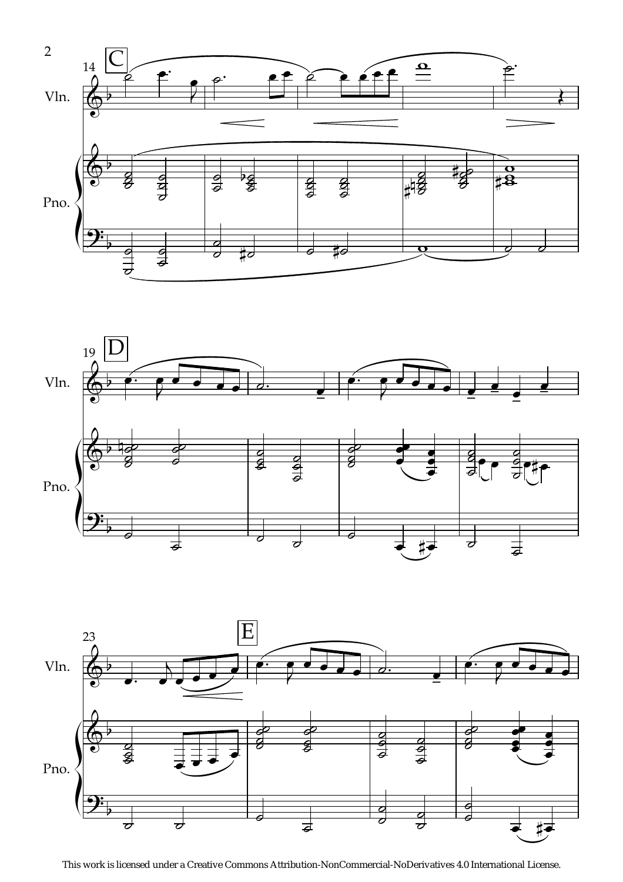





This work is licensed under a Creative Commons Attribution-NonCommercial-NoDerivatives 4.0 International License.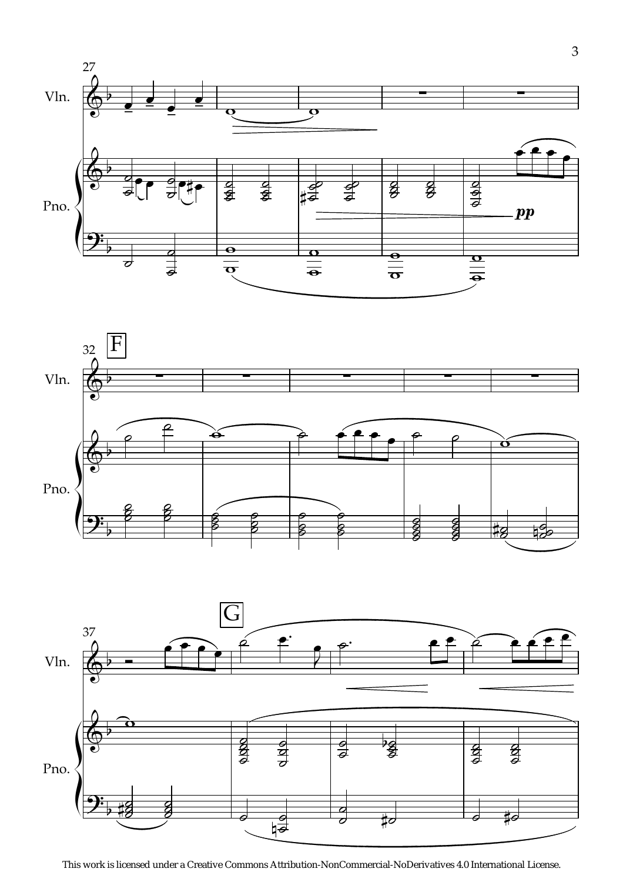





This work is licensed under a Creative Commons Attribution-NonCommercial-NoDerivatives 4.0 International License.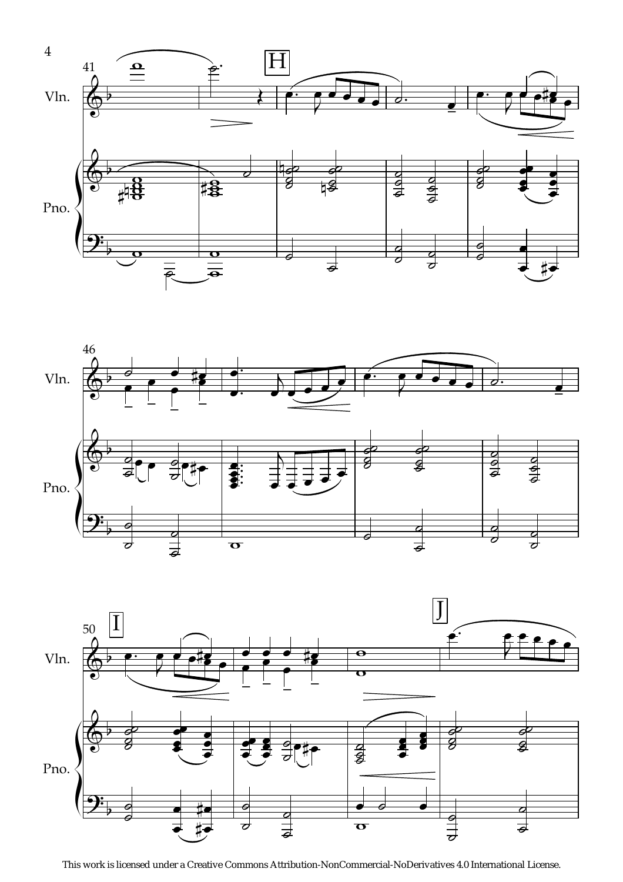





This work is licensed under a Creative Commons Attribution-NonCommercial-NoDerivatives 4.0 International License.